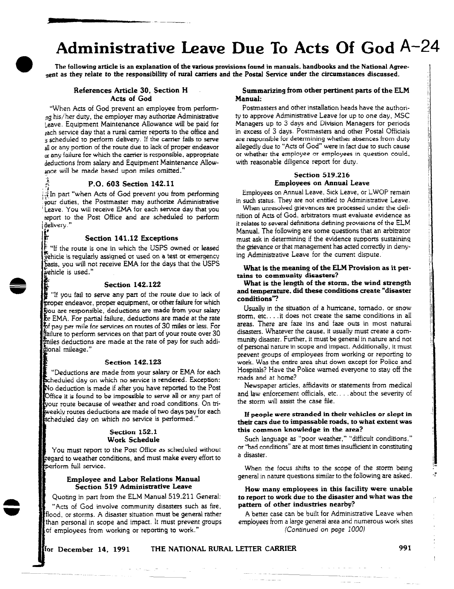## Administrative Leave Due To Acts Of God A-24

The following article is an explanation of the various provisions found in manuals, handbooks and the National Agreenent as they relate to the responsibility of rural carriers and the Postal Service under the circumstances discussed.

### Acts of God

r ---..

"When Acts of God prevent an employee from perforrn ng his/her duty, the employer may authorize Administrative Leave. Equipment Maintenance Allowance will be paid for zach service day that a rural carrier reports to the office and s scheduled to perform delivery. If the carrier fails to serve all or any portion of the route due to lack of proper endeavor or any failure for which the carrier is responsible, appropriate deductions from salary and Equipment Maintenance Allowance will be made based upon miles omitted."

#### <sup>F</sup>P.O. 603 Section 142.11

 $\ddot{\phantom{0}}$ .?

 $\mathbf{r}$ 

In part "when Acts of God prevent you from performing .gour duties, the Postmaster may authorize Administrative Leave. You will receive EMA for each service day that you report to the Post Office and are scheduled to perform delivery."

#### Section 141.12 Exceptions

 $\epsilon$  "If the route is one in which the USPS owned or leased zehrcle is regularly assigned OT used on a test or emergency basis, you will not receive EMA for the days that the USPS vehicle is used."

#### Section 142.122

"If you fail to serve any part of the route due to lack of proper endeavor, proper equipment, or other failure for which  $\tilde{\mathbf{y}}$ ou are responsible, deductions are made from your salary EMA. For partial failure, deductions are made at the rate  $\rm{E}$  pay per mile for services on routes of 30 miles or less. For lure to perform services on that part of your route over 30 imiles deductions are made at the rate of pay for such addifional mileage."

#### Section 142.123

"Deductions are made from your salary or EMA for each  $\mathop{\mathrm{Scheduled}}$  day on which no service is rendered. Exception: No deduction is made if after you have reported to the Post Office it is found to be impossible to serve all or any part of your route because of weather and road conditions. On triweekly routes deductions are made of two days pay for each scheduled day on which no service is performed."

#### Section 152.1 Work Schedule

You must report to the Post Office as scheduled without tegard to weather conditions, and must make every effort to merform full service.

#### Employee and Labor Relations Manual Section 519 Administrative Leave

Quoting in part from the ELM Manual 519.211 General:

"Acts of God involve community disasters such as fire, flood. or storms. A disaster situation must be general rather than personal in scope and impact. It must prevent groups of employees from working or reporting to work."

## References Article 30, Section H Summarizing from other pertinent parts of the ELM<br>Acts of God Manual:

Postmasters and other installation heads have the authority to approve Administrative Leave for up to one day, MSC Managers up to 3 days and Division Managers for periods in excess of 3 days. Postmasters and other Postal Officials are responsible for determining whether absences from duty allegedly due to "Acts of God" were in fact due to such cause or whether the employee or employees in question could, with reasonable diligence report for duty.

#### Section 519.216 Employees on Annual Leave

Employees on Annual Leave, Sick Leave, or LWOP remain in such status. They are not entitled to Administrative Leave.

When unresolved grievances are processed under the definition of Acts of God, arbitrators must evaluate evidence as it relates to several definitions defining provisions of the ELM Manual. The following are some questions that an arbitrator must ask in determining if the evidence supports sustaining the grievance or that management has acted correctly in denying Administrative Leave for the current dispute.

#### What is the meaning of the ELM Provision as it pertains to community disasters?

#### What is the length of the storm, the wind strength and temperature, did these conditions create "disaster conditions?

Usually in the situation of a hurricane, tornado. or snow storm, etc.. . . it does not create the same conditions in all areas. There are faze ins and faze outs in most natural disasters. Whatever the cause, it usually must create a community disaster. Further, it must be general in nature and not of personal nature in scope and impact. Additionally, it must prevent groups of employees from working or reporting to work. Was the entire area shut down except for Police and Hospitals? Have the Police warned everyone to stay off the roads and at home?

Newspaper articles, affidavits or statements from medical and law enforcement officials, etc.. . about the severity of the storm will assist the case file.

If people were stranded in their vehicles or slept in their cars due to impassable roads, to what extent was this common knowledge in the area?

Such language as "poor weather," "difficult conditions," or "bad conditions" are at most times insufficient in constituting a disaster.

When the focus shifts to the scope of the storm being general in nature questions similar to the following are asked.

#### How many employees in this facility were unable to report to work due to the disaster and what was the pattern of other industries nearby?

A better case can be built for Administrative Leave when employees from a large general area and numerous work sites (Continued on page 1000)

المرشان المساحات

#### for December 14, 1991 IHE NATIONAL RURAL LETTER CARRIER  $991$

المدامس وسامته